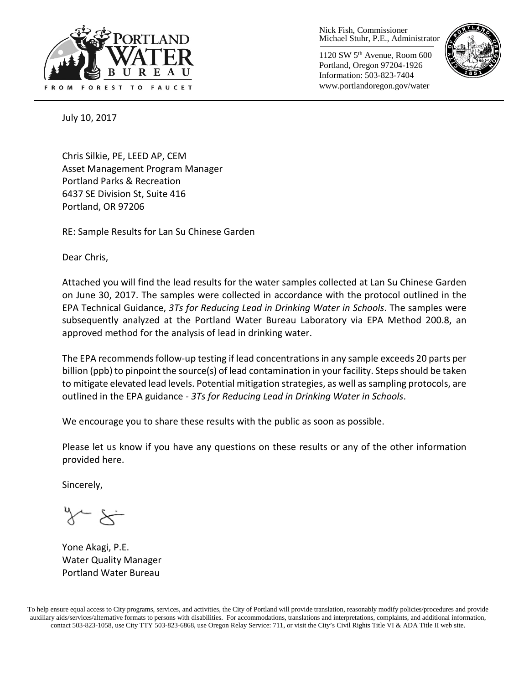

Nick Fish, Commissioner Michael Stuhr, P.E., Administrator

1120 SW 5th Avenue, Room 600 Portland, Oregon 97204-1926 Information: 503-823-7404 www.portlandoregon.gov/water



July 10, 2017

Chris Silkie, PE, LEED AP, CEM Asset Management Program Manager Portland Parks & Recreation 6437 SE Division St, Suite 416 Portland, OR 97206

RE: Sample Results for Lan Su Chinese Garden

Dear Chris,

Attached you will find the lead results for the water samples collected at Lan Su Chinese Garden on June 30, 2017. The samples were collected in accordance with the protocol outlined in the EPA Technical Guidance, *3Ts for Reducing Lead in Drinking Water in Schools*. The samples were subsequently analyzed at the Portland Water Bureau Laboratory via EPA Method 200.8, an approved method for the analysis of lead in drinking water.

The EPA recommends follow-up testing if lead concentrations in any sample exceeds 20 parts per billion (ppb) to pinpoint the source(s) of lead contamination in your facility. Steps should be taken to mitigate elevated lead levels. Potential mitigation strategies, as well as sampling protocols, are outlined in the EPA guidance - *3Ts for Reducing Lead in Drinking Water in Schools*.

We encourage you to share these results with the public as soon as possible.

Please let us know if you have any questions on these results or any of the other information provided here.

Sincerely,

Yone Akagi, P.E. Water Quality Manager Portland Water Bureau

To help ensure equal access to City programs, services, and activities, the City of Portland will provide translation, reasonably modify policies/procedures and provide auxiliary aids/services/alternative formats to persons with disabilities. For accommodations, translations and interpretations, complaints, and additional information, contact 503-823-1058, use City TTY 503-823-6868, use Oregon Relay Service: 711, or visi[t the City's Civil Rights Title VI & ADA Title II web site.](http://www.portlandoregon.gov/oehr/66458)